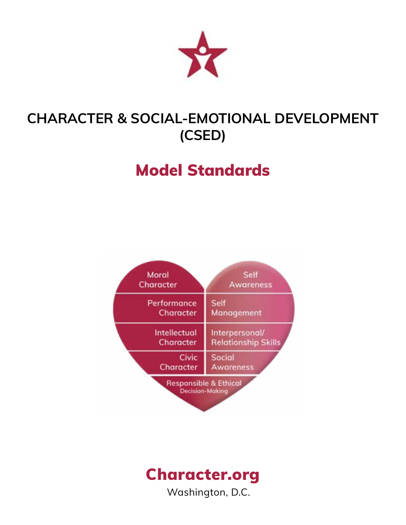

# **CHARACTER & SOCIAL-EMOTIONAL DEVELOPMENT (CSED)**

# Model Standards



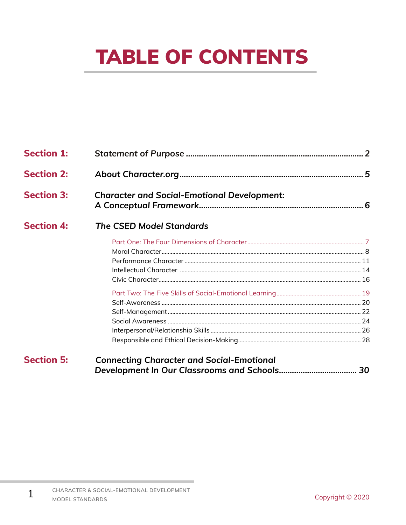# **TABLE OF CONTENTS**

| <b>Section 1:</b> |                                                    |  |
|-------------------|----------------------------------------------------|--|
| <b>Section 2:</b> |                                                    |  |
| <b>Section 3:</b> | <b>Character and Social-Emotional Development:</b> |  |
| <b>Section 4:</b> | <b>The CSED Model Standards</b>                    |  |
|                   |                                                    |  |
|                   |                                                    |  |
|                   |                                                    |  |
|                   |                                                    |  |
|                   |                                                    |  |
|                   |                                                    |  |
|                   |                                                    |  |
|                   |                                                    |  |
|                   |                                                    |  |
|                   |                                                    |  |
|                   |                                                    |  |
| <b>Section 5:</b> | <b>Connecting Character and Social-Emotional</b>   |  |

 $\mathbf{1}$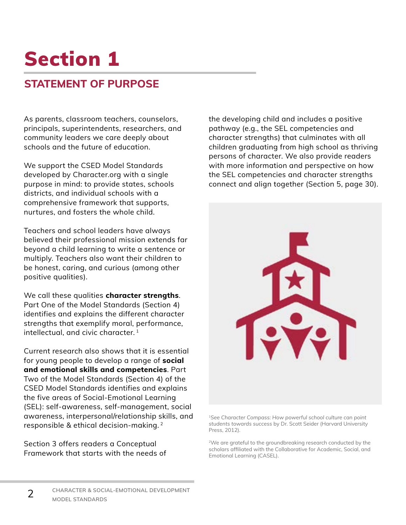## **STATEMENT OF PURPOSE**

As parents, classroom teachers, counselors, principals, superintendents, researchers, and community leaders we care deeply about schools and the future of education.

We support the CSED Model Standards developed by Character.org with a single purpose in mind: to provide states, schools districts, and individual schools with a comprehensive framework that supports, nurtures, and fosters the whole child.

Teachers and school leaders have always believed their professional mission extends far beyond a child learning to write a sentence or multiply. Teachers also want their children to be honest, caring, and curious (among other positive qualities).

We call these qualities **character strengths**. Part One of the Model Standards (Section 4) identifies and explains the different character strengths that exemplify moral, performance, intellectual, and civic character. 1

Current research also shows that it is essential for young people to develop a range of **social and emotional skills and competencies**. Part Two of the Model Standards (Section 4) of the CSED Model Standards identifies and explains the five areas of Social-Emotional Learning (SEL): self-awareness, self-management, social awareness, interpersonal/relationship skills, and responsible & ethical decision-making. 2

Section 3 offers readers a Conceptual Framework that starts with the needs of

2

the developing child and includes a positive pathway (e.g., the SEL competencies and character strengths) that culminates with all children graduating from high school as thriving persons of character. We also provide readers with more information and perspective on how the SEL competencies and character strengths connect and align together (Section 5, page 30).



<sup>1</sup>*See Character Compass: How powerful school culture can point students towards success* by Dr. Scott Seider (Harvard University Press, 2012).

2We are grateful to the groundbreaking research conducted by the scholars affiliated with the Collaborative for Academic, Social, and Emotional Learning (CASEL).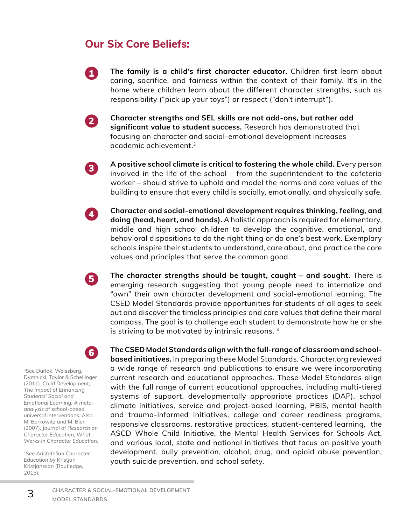## **Our Six Core Beliefs:**

**The family is a child's first character educator.** Children first learn about caring, sacrifice, and fairness within the context of their family. It's in the home where children learn about the different character strengths, such as responsibility ("pick up your toys") or respect ("don't interrupt").

**Character strengths and SEL skills are not add-ons, but rather add significant value to student success.** Research has demonstrated that focusing on character and social-emotional development increases academic achievement.3

3

4

5

2

1

**A positive school climate is critical to fostering the whole child.** Every person involved in the life of the school – from the superintendent to the cafeteria worker – should strive to uphold and model the norms and core values of the building to ensure that every child is socially, emotionally, and physically safe.

**Character and social-emotional development requires thinking, feeling, and doing (head, heart, and hands).** A holistic approach is required for elementary, middle and high school children to develop the cognitive, emotional, and behavioral dispositions to do the right thing or do one's best work. Exemplary schools inspire their students to understand, care about, and practice the core values and principles that serve the common good.

**The character strengths should be taught, caught – and sought.** There is emerging research suggesting that young people need to internalize and "own" their own character development and social-emotional learning. The CSED Model Standards provide opportunities for students of all ages to seek out and discover the timeless principles and core values that define their moral compass. The goal is to challenge each student to demonstrate how he or she is striving to be motivated by intrinsic reasons. 4

6

<sup>3</sup>See Durlak, Weissberg, Dymnicki, Taylor & Schellinger (2011). *Child Development, The Impact of Enhancing Students' Social and Emotional Learning: A metaanalysis of school-based universal interventions.* Also, M. Berkowitz and M. Bier (2007), *Journal of Research on Character Education, What Works in Character Education.* 

<sup>4</sup>*See Aristotelian Character Education* by Kristjan Kristjansson (Routledge, 2015).

3

**The CSED Model Standards align with the full-range of classroom and schoolbased initiatives.** In preparing these Model Standards, Character.org reviewed a wide range of research and publications to ensure we were incorporating current research and educational approaches. These Model Standards align with the full range of current educational approaches, including multi-tiered systems of support, developmentally appropriate practices (DAP), school climate initiatives, service and project-based learning, PBIS, mental health and trauma-informed initiatives, college and career readiness programs, responsive classrooms, restorative practices, student-centered learning, the ASCD Whole Child Initiative, the Mental Health Services for Schools Act, and various local, state and national initiatives that focus on positive youth development, bully prevention, alcohol, drug, and opioid abuse prevention, youth suicide prevention, and school safety.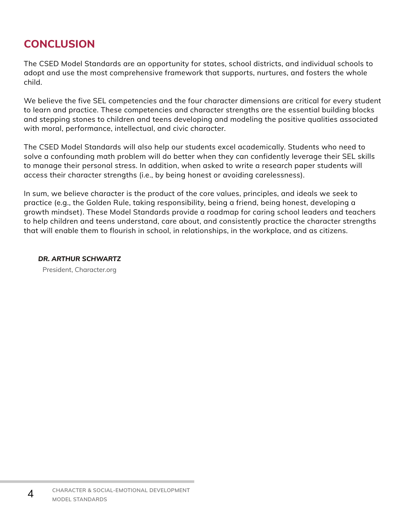## **CONCLUSION**

The CSED Model Standards are an opportunity for states, school districts, and individual schools to adopt and use the most comprehensive framework that supports, nurtures, and fosters the whole child.

We believe the five SEL competencies and the four character dimensions are critical for every student to learn and practice. These competencies and character strengths are the essential building blocks and stepping stones to children and teens developing and modeling the positive qualities associated with moral, performance, intellectual, and civic character.

The CSED Model Standards will also help our students excel academically. Students who need to solve a confounding math problem will do better when they can confidently leverage their SEL skills to manage their personal stress. In addition, when asked to write a research paper students will access their character strengths (i.e., by being honest or avoiding carelessness).

In sum, we believe character is the product of the core values, principles, and ideals we seek to practice (e.g., the Golden Rule, taking responsibility, being a friend, being honest, developing a growth mindset). These Model Standards provide a roadmap for caring school leaders and teachers to help children and teens understand, care about, and consistently practice the character strengths that will enable them to flourish in school, in relationships, in the workplace, and as citizens.

*DR. ARTHUR SCHWARTZ* President, Character.org

4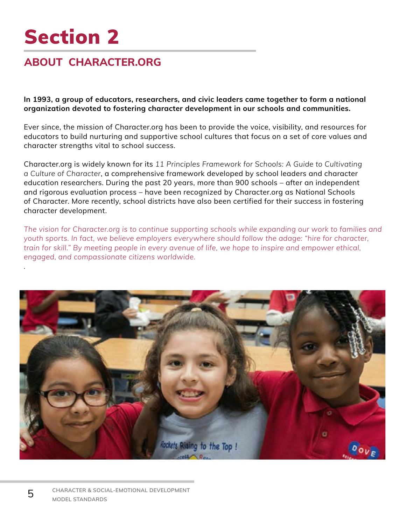## **ABOUT CHARACTER.ORG**

**In 1993, a group of educators, researchers, and civic leaders came together to form a national organization devoted to fostering character development in our schools and communities.**

Ever since, the mission of Character.org has been to provide the voice, visibility, and resources for educators to build nurturing and supportive school cultures that focus on a set of core values and character strengths vital to school success.

Character.org is widely known for its *11 Principles Framework for Schools: A Guide to Cultivating a Culture of Character*, a comprehensive framework developed by school leaders and character education researchers. During the past 20 years, more than 900 schools – after an independent and rigorous evaluation process – have been recognized by Character.org as National Schools of Character. More recently, school districts have also been certified for their success in fostering character development.

*The vision for Character.org is to continue supporting schools while expanding our work to families and youth sports. In fact, we believe employers everywhere should follow the adage: "hire for character, train for skill." By meeting people in every avenue of life, we hope to inspire and empower ethical, engaged, and compassionate citizens worldwide.*



5

*.*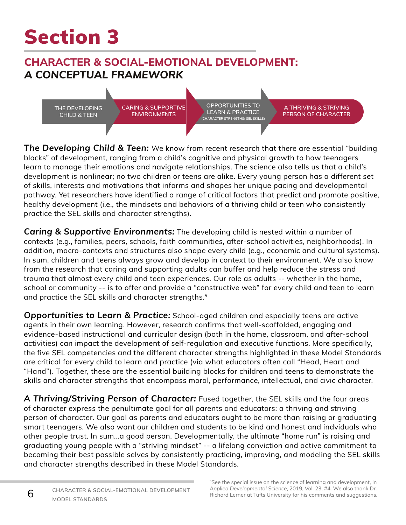## **CHARACTER & SOCIAL-EMOTIONAL DEVELOPMENT:** *A CONCEPTUAL FRAMEWORK*

**THE DEVELOPING CHILD & TEEN**

**CARING & SUPPORTIVE ENVIRONMENTS**

**OPPORTUNITIES TO LEARN & PRACTICE (CHARACTER STRENGTHS/ SEL SKILLS)**

**A THRIVING & STRIVING PERSON OF CHARACTER**

*The Developing Child & Teen:* We know from recent research that there are essential "building blocks" of development, ranging from a child's cognitive and physical growth to how teenagers learn to manage their emotions and navigate relationships. The science also tells us that a child's development is nonlinear; no two children or teens are alike. Every young person has a different set of skills, interests and motivations that informs and shapes her unique pacing and developmental pathway. Yet researchers have identified a range of critical factors that predict and promote positive, healthy development (i.e., the mindsets and behaviors of a thriving child or teen who consistently practice the SEL skills and character strengths).

*Caring & Supportive Environments:* The developing child is nested within a number of contexts (e.g., families, peers, schools, faith communities, after-school activities, neighborhoods). In addition, macro-contexts and structures also shape every child (e.g., economic and cultural systems). In sum, children and teens always grow and develop in context to their environment. We also know from the research that caring and supporting adults can buffer and help reduce the stress and trauma that almost every child and teen experiences. Our role as adults -- whether in the home, school or community -- is to offer and provide a "constructive web" for every child and teen to learn and practice the SEL skills and character strengths.<sup>5</sup>

*Opportunities to Learn & Practice:* School-aged children and especially teens are active agents in their own learning. However, research confirms that well-scaffolded, engaging and evidence-based instructional and curricular design (both in the home, classroom, and after-school activities) can impact the development of self-regulation and executive functions. More specifically, the five SEL competencies and the different character strengths highlighted in these Model Standards are critical for every child to learn and practice (via what educators often call "Head, Heart and "Hand"). Together, these are the essential building blocks for children and teens to demonstrate the skills and character strengths that encompass moral, performance, intellectual, and civic character.

A Thriving/Striving Person of Character: Fused together, the SEL skills and the four areas of character express the penultimate goal for all parents and educators: a thriving and striving person of character. Our goal as parents and educators ought to be more than raising or graduating smart teenagers. We also want our children and students to be kind and honest and indviduals who other people trust. In sum...a good person. Developmentally, the ultimate "home run" is raising and graduating young people with a "striving mindset" -- a lifelong conviction and active commitment to becoming their best possible selves by consistently practicing, improving, and modeling the SEL skills and character strengths described in these Model Standards.

6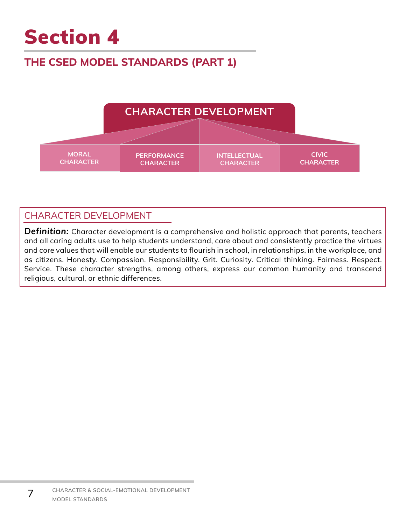## **THE CSED MODEL STANDARDS (PART 1)**



## CHARACTER DEVELOPMENT

*Definition:* Character development is a comprehensive and holistic approach that parents, teachers and all caring adults use to help students understand, care about and consistently practice the virtues and core values that will enable our students to flourish in school, in relationships, in the workplace, and as citizens. Honesty. Compassion. Responsibility. Grit. Curiosity. Critical thinking. Fairness. Respect. Service. These character strengths, among others, express our common humanity and transcend religious, cultural, or ethnic differences.

7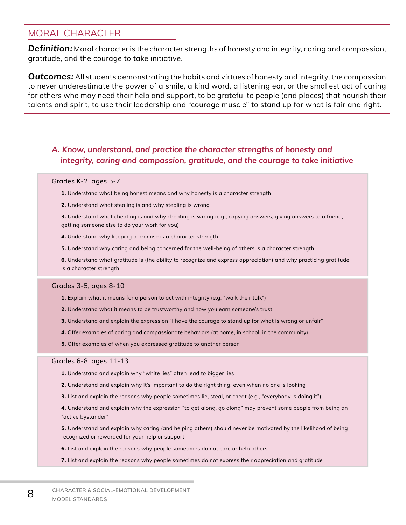## MORAL CHARACTER

*Definition:* Moral character is the character strengths of honesty and integrity, caring and compassion, gratitude, and the courage to take initiative.

*Outcomes:* All students demonstrating the habits and virtues of honesty and integrity, the compassion to never underestimate the power of a smile, a kind word, a listening ear, or the smallest act of caring for others who may need their help and support, to be grateful to people (and places) that nourish their talents and spirit, to use their leadership and "courage muscle" to stand up for what is fair and right.

### *A. Know, understand, and practice the character strengths of honesty and integrity, caring and compassion, gratitude, and the courage to take initiative*

#### Grades K-2, ages 5-7

- **1.** Understand what being honest means and why honesty is a character strength
- **2.** Understand what stealing is and why stealing is wrong
- **3.** Understand what cheating is and why cheating is wrong (e.g., copying answers, giving answers to a friend, getting someone else to do your work for you)
- **4.** Understand why keeping a promise is a character strength
- **5.** Understand why caring and being concerned for the well-being of others is a character strength

**6.** Understand what gratitude is (the ability to recognize and express appreciation) and why practicing gratitude is a character strength

#### Grades 3-5, ages 8-10

- **1.** Explain what it means for a person to act with integrity (e.g, "walk their talk")
- **2.** Understand what it means to be trustworthy and how you earn someone's trust
- **3.** Understand and explain the expression "I have the courage to stand up for what is wrong or unfair"
- **4.** Offer examples of caring and compassionate behaviors (at home, in school, in the community)
- **5.** Offer examples of when you expressed gratitude to another person

#### Grades 6-8, ages 11-13

- **1.** Understand and explain why "white lies" often lead to bigger lies
- **2.** Understand and explain why it's important to do the right thing, even when no one is looking
- **3.** List and explain the reasons why people sometimes lie, steal, or cheat (e.g., "everybody is doing it")
- **4.** Understand and explain why the expression "to get along, go along" may prevent some people from being an "active bystander"
- **5.** Understand and explain why caring (and helping others) should never be motivated by the likelihood of being recognized or rewarded for your help or support
- **6.** List and explain the reasons why people sometimes do not care or help others
- **7.** List and explain the reasons why people sometimes do not express their appreciation and gratitude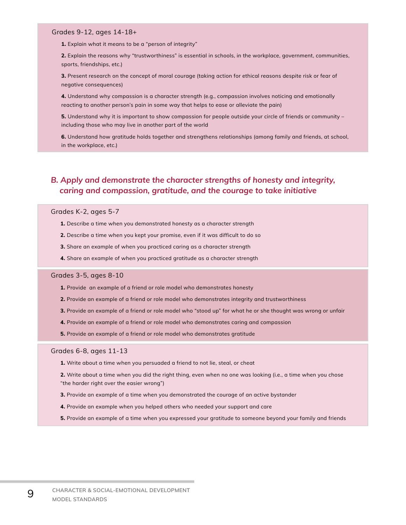**1.** Explain what it means to be a "person of integrity"

**2.** Explain the reasons why "trustworthiness" is essential in schools, in the workplace, government, communities, sports, friendships, etc.)

**3.** Present research on the concept of moral courage (taking action for ethical reasons despite risk or fear of negative consequences)

**4.** Understand why compassion is a character strength (e.g., compassion involves noticing and emotionally reacting to another person's pain in some way that helps to ease or alleviate the pain)

**5.** Understand why it is important to show compassion for people outside your circle of friends or community including those who may live in another part of the world

**6.** Understand how gratitude holds together and strengthens relationships (among family and friends, at school, in the workplace, etc.)

### *B. Apply and demonstrate the character strengths of honesty and integrity, caring and compassion, gratitude, and the courage to take initiative*

#### Grades K-2, ages 5-7

- **1.** Describe a time when you demonstrated honesty as a character strength
- **2.** Describe a time when you kept your promise, even if it was difficult to do so
- **3.** Share an example of when you practiced caring as a character strength
- **4.** Share an example of when you practiced gratitude as a character strength

#### Grades 3-5, ages 8-10

- **1.** Provide an example of a friend or role model who demonstrates honesty
- **2.** Provide an example of a friend or role model who demonstrates integrity and trustworthiness
- **3.** Provide an example of a friend or role model who "stood up" for what he or she thought was wrong or unfair
- **4.** Provide an example of a friend or role model who demonstrates caring and compassion
- **5.** Provide an example of a friend or role model who demonstrates gratitude

#### Grades 6-8, ages 11-13

9

**1.** Write about a time when you persuaded a friend to not lie, steal, or cheat

**2.** Write about a time when you did the right thing, even when no one was looking (i.e., a time when you chose "the harder right over the easier wrong")

- **3.** Provide an example of a time when you demonstrated the courage of an active bystander
- **4.** Provide an example when you helped others who needed your support and care
- **5.** Provide an example of a time when you expressed your gratitude to someone beyond your family and friends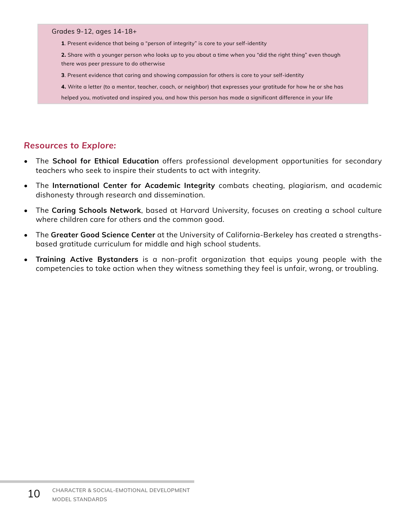**1**. Present evidence that being a "person of integrity" is core to your self-identity

**2.** Share with a younger person who looks up to you about a time when you "did the right thing" even though there was peer pressure to do otherwise

**3**. Present evidence that caring and showing compassion for others is core to your self-identity

**4.** Write a letter (to a mentor, teacher, coach, or neighbor) that expresses your gratitude for how he or she has helped you, motivated and inspired you, and how this person has made a significant difference in your life

- The **School for Ethical Education** offers professional development opportunities for secondary teachers who seek to inspire their students to act with integrity.
- The **International Center for Academic Integrity** combats cheating, plagiarism, and academic dishonesty through research and dissemination.
- The **Caring Schools Network**, based at Harvard University, focuses on creating a school culture where children care for others and the common good.
- The **Greater Good Science Center** at the University of California-Berkeley has created a strengthsbased gratitude curriculum for middle and high school students.
- **• Training Active Bystanders** is a non-profit organization that equips young people with the competencies to take action when they witness something they feel is unfair, wrong, or troubling.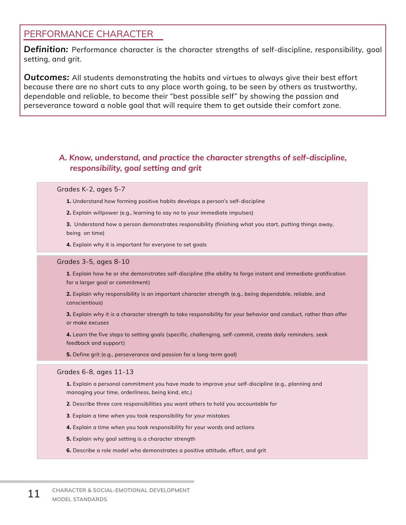## PERFORMANCE CHARACTER

*Definition:* Performance character is the character strengths of self-discipline, responsibility, goal setting, and grit.

*Outcomes:* All students demonstrating the habits and virtues to always give their best effort because there are no short cuts to any place worth going, to be seen by others as trustworthy, dependable and reliable, to become their "best possible self" by showing the passion and perseverance toward a noble goal that will require them to get outside their comfort zone.

## *A. Know, understand, and practice the character strengths of self-discipline, responsibility, goal setting and grit*

#### Grades K-2, ages 5-7

**1.** Understand how forming positive habits develops a person's self-discipline

**2.** Explain willpower (e.g., learning to say no to your immediate impulses)

**3.** Understand how a person demonstrates responsibility (finishing what you start, putting things away, being on time)

**4.** Explain why it is important for everyone to set goals

#### Grades 3-5, ages 8-10

**1**. Explain how he or she demonstrates self-discipline (the ability to forgo instant and immediate gratification for a larger goal or commitment)

**2.** Explain why responsibility is an important character strength (e.g., being dependable, reliable, and conscientious)

**3.** Explain why it is a character strength to take responsibility for your behavior and conduct, rather than offer or make excuses

**4.** Learn the five steps to setting goals (specific, challenging, self-commit, create daily reminders, seek feedback and support)

**5.** Define grit (e.g., perseverance and passion for a long-term goal)

#### Grades 6-8, ages 11-13

**1.** Explain a personal commitment you have made to improve your self-discipline (e.g., planning and managing your time, orderliness, being kind, etc.)

**2**. Describe three core responsibilities you want others to hold you accountable for

**3**. Explain a time when you took responsibility for your mistakes

**4.** Explain a time when you took responsibility for your words and actions

**5.** Explain why goal setting is a character strength

**6.** Describe a role model who demonstrates a positive attitude, effort, and grit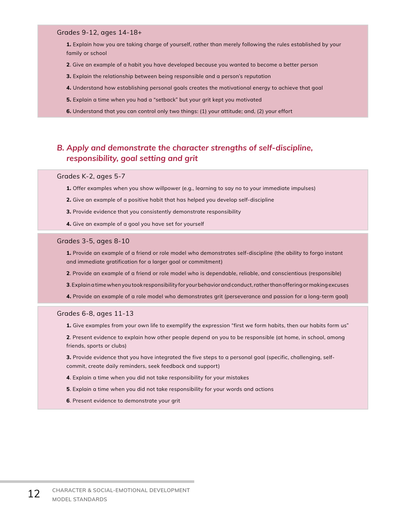**1.** Explain how you are taking charge of yourself, rather than merely following the rules established by your family or school

- **2**. Give an example of a habit you have developed because you wanted to become a better person
- **3.** Explain the relationship between being responsible and a person's reputation
- **4.** Understand how establishing personal goals creates the motivational energy to achieve that goal
- **5.** Explain a time when you had a "setback" but your grit kept you motivated
- **6.** Understand that you can control only two things: (1) your attitude; and, (2) your effort

### *B. Apply and demonstrate the character strengths of self-discipline, responsibility, goal setting and grit*

#### Grades K-2, ages 5-7

- **1.** Offer examples when you show willpower (e.g., learning to say no to your immediate impulses)
- **2.** Give an example of a positive habit that has helped you develop self-discipline
- **3.** Provide evidence that you consistently demonstrate responsibility
- **4.** Give an example of a goal you have set for yourself

#### Grades 3-5, ages 8-10

**1.** Provide an example of a friend or role model who demonstrates self-discipline (the ability to forgo instant and immediate gratification for a larger goal or commitment)

**2**. Provide an example of a friend or role model who is dependable, reliable, and conscientious (responsible)

**3**. Explain a time when you took responsibility for your behavior and conduct, rather than offering or making excuses

**4.** Provide an example of a role model who demonstrates grit (perseverance and passion for a long-term goal)

#### Grades 6-8, ages 11-13

**1.** Give examples from your own life to exemplify the expression "first we form habits, then our habits form us"

**2**. Present evidence to explain how other people depend on you to be responsible (at home, in school, among friends, sports or clubs)

**3.** Provide evidence that you have integrated the five steps to a personal goal (specific, challenging, selfcommit, create daily reminders, seek feedback and support)

- **4**. Explain a time when you did not take responsibility for your mistakes
- **5**. Explain a time when you did not take responsibility for your words and actions
- **6**. Present evidence to demonstrate your grit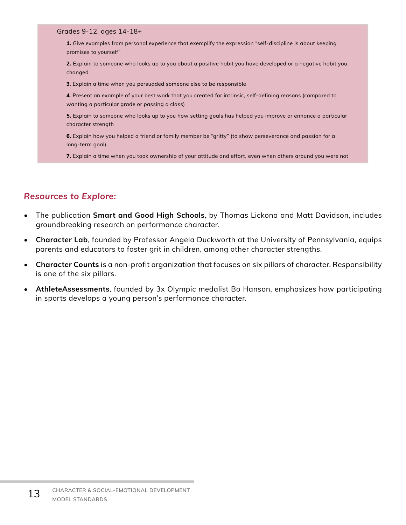**1.** Give examples from personal experience that exemplify the expression "self-discipline is about keeping promises to yourself"

**2.** Explain to someone who looks up to you about a positive habit you have developed or a negative habit you changed

**3**. Explain a time when you persuaded someone else to be responsible

**4**. Present an example of your best work that you created for intrinsic, self-defining reasons (compared to wanting a particular grade or passing a class)

**5.** Explain to someone who looks up to you how setting goals has helped you improve or enhance a particular character strength

**6.** Explain how you helped a friend or family member be "gritty" (to show perseverance and passion for a long-term goal)

**7.** Explain a time when you took ownership of your attitude and effort, even when others around you were not

- The publication **Smart and Good High Schools**, by Thomas Lickona and Matt Davidson, includes groundbreaking research on performance character.
- **• Character Lab**, founded by Professor Angela Duckworth at the University of Pennsylvania, equips parents and educators to foster grit in children, among other character strengths.
- **• Character Counts** is a non-profit organization that focuses on six pillars of character. Responsibility is one of the six pillars.
- **• AthleteAssessments**, founded by 3x Olympic medalist Bo Hanson, emphasizes how participating in sports develops a young person's performance character.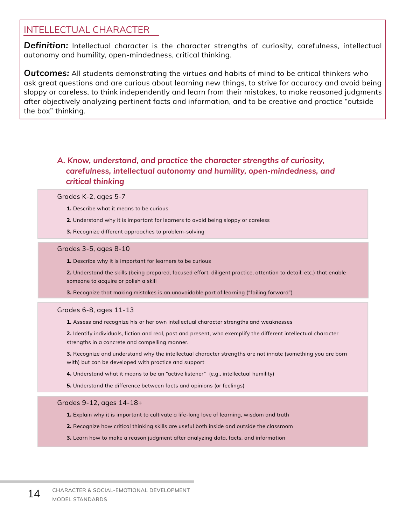## INTELLECTUAL CHARACTER

*Definition:* Intellectual character is the character strengths of curiosity, carefulness, intellectual autonomy and humility, open-mindedness, critical thinking.

*Outcomes:* All students demonstrating the virtues and habits of mind to be critical thinkers who ask great questions and are curious about learning new things, to strive for accuracy and avoid being sloppy or careless, to think independently and learn from their mistakes, to make reasoned judgments after objectively analyzing pertinent facts and information, and to be creative and practice "outside the box" thinking.

## *A. Know, understand, and practice the character strengths of curiosity, carefulness, intellectual autonomy and humility, open-mindedness, and critical thinking*

#### Grades K-2, ages 5-7

- **1.** Describe what it means to be curious
- **2**. Understand why it is important for learners to avoid being sloppy or careless
- **3.** Recognize different approaches to problem-solving

#### Grades 3-5, ages 8-10

**1.** Describe why it is important for learners to be curious

**2.** Understand the skills (being prepared, focused effort, diligent practice, attention to detail, etc.) that enable someone to acquire or polish a skill

**3.** Recognize that making mistakes is an unavoidable part of learning ("failing forward")

#### Grades 6-8, ages 11-13

- **1.** Assess and recognize his or her own intellectual character strengths and weaknesses
- **2.** Identify individuals, fiction and real, past and present, who exemplify the different intellectual character strengths in a concrete and compelling manner.

**3.** Recognize and understand why the intellectual character strengths are not innate (something you are born with) but can be developed with practice and support

- **4.** Understand what it means to be an "active listener" (e.g., intellectual humility)
- **5.** Understand the difference between facts and opinions (or feelings)

#### Grades 9-12, ages 14-18+

- **1.** Explain why it is important to cultivate a life-long love of learning, wisdom and truth
- **2.** Recognize how critical thinking skills are useful both inside and outside the classroom
- **3.** Learn how to make a reason judgment after analyzing data, facts, and information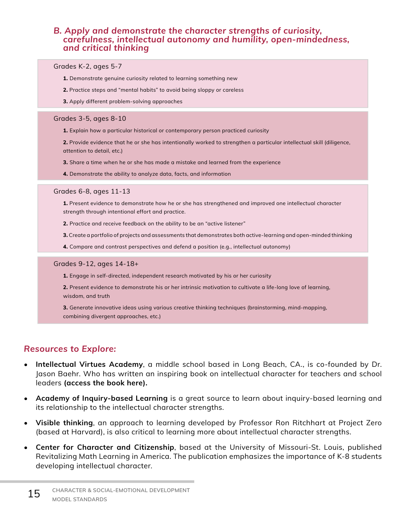### *B. Apply and demonstrate the character strengths of curiosity, carefulness, intellectual autonomy and humility, open-mindedness, and critical thinking*

#### Grades K-2, ages 5-7

- **1.** Demonstrate genuine curiosity related to learning something new
- **2.** Practice steps and "mental habits" to avoid being sloppy or careless
- **3.** Apply different problem-solving approaches

#### Grades 3-5, ages 8-10

**1.** Explain how a particular historical or contemporary person practiced curiosity

**2.** Provide evidence that he or she has intentionally worked to strengthen a particular intellectual skill (diligence, attention to detail, etc.)

- **3.** Share a time when he or she has made a mistake and learned from the experience
- **4.** Demonstrate the ability to analyze data, facts, and information

#### Grades 6-8, ages 11-13

**1.** Present evidence to demonstrate how he or she has strengthened and improved one intellectual character strength through intentional effort and practice.

- **2.** Practice and receive feedback on the ability to be an "active listener"
- **3.** Create a portfolio of projects and assessments that demonstrates both active-learning and open-minded thinking
- **4.** Compare and contrast perspectives and defend a position (e.g., intellectual autonomy)

#### Grades 9-12, ages 14-18+

- **1.** Engage in self-directed, independent research motivated by his or her curiosity
- **2.** Present evidence to demonstrate his or her intrinsic motivation to cultivate a life-long love of learning, wisdom, and truth

**3.** Generate innovative ideas using various creative thinking techniques (brainstorming, mind-mapping, combining divergent approaches, etc.)

- **• Intellectual Virtues Academy**, a middle school based in Long Beach, CA., is co-founded by Dr. Jason Baehr. Who has written an inspiring book on intellectual character for teachers and school leaders **(access the book here).**
- **• Academy of Inquiry-based Learning** is a great source to learn about inquiry-based learning and its relationship to the intellectual character strengths.
- **• Visible thinking**, an approach to learning developed by Professor Ron Ritchhart at Project Zero (based at Harvard), is also critical to learning more about intellectual character strengths.
- **• Center for Character and Citizenship**, based at the University of Missouri-St. Louis, published Revitalizing Math Learning in America. The publication emphasizes the importance of K-8 students developing intellectual character.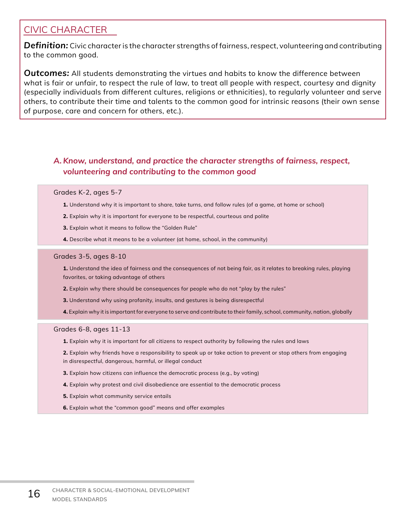## CIVIC CHARACTER

*Definition:* Civic character is the character strengths of fairness, respect, volunteering and contributing to the common good.

*Outcomes:* All students demonstrating the virtues and habits to know the difference between what is fair or unfair, to respect the rule of law, to treat all people with respect, courtesy and dignity (especially individuals from different cultures, religions or ethnicities), to regularly volunteer and serve others, to contribute their time and talents to the common good for intrinsic reasons (their own sense of purpose, care and concern for others, etc.).

## *A. Know, understand, and practice the character strengths of fairness, respect, volunteering and contributing to the common good*

#### Grades K-2, ages 5-7

- **1.** Understand why it is important to share, take turns, and follow rules (of a game, at home or school)
- **2.** Explain why it is important for everyone to be respectful, courteous and polite
- **3.** Explain what it means to follow the "Golden Rule"
- **4.** Describe what it means to be a volunteer (at home, school, in the community)

#### Grades 3-5, ages 8-10

**1.** Understand the idea of fairness and the consequences of not being fair, as it relates to breaking rules, playing favorites, or taking advantage of others

- **2.** Explain why there should be consequences for people who do not "play by the rules"
- **3.** Understand why using profanity, insults, and gestures is being disrespectful
- **4.** Explain why it is important for everyone to serve and contribute to their family, school, community, nation, globally

#### Grades 6-8, ages 11-13

- **1.** Explain why it is important for all citizens to respect authority by following the rules and laws
- **2.** Explain why friends have a responsibility to speak up or take action to prevent or stop others from engaging in disrespectful, dangerous, harmful, or illegal conduct
- **3.** Explain how citizens can influence the democratic process (e.g., by voting)
- **4.** Explain why protest and civil disobedience are essential to the democratic process
- **5.** Explain what community service entails
- **6.** Explain what the "common good" means and offer examples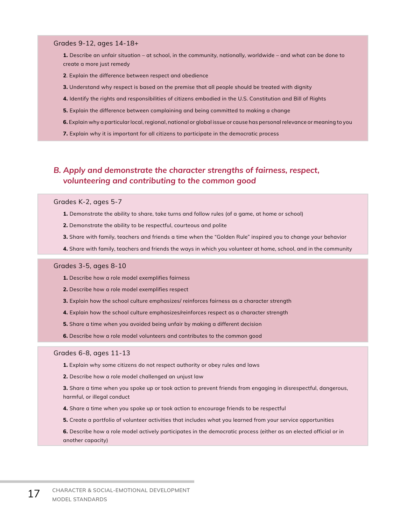**1.** Describe an unfair situation – at school, in the community, nationally, worldwide – and what can be done to create a more just remedy

- **2**. Explain the difference between respect and obedience
- **3.** Understand why respect is based on the premise that all people should be treated with dignity
- **4.** Identify the rights and responsibilities of citizens embodied in the U.S. Constitution and Bill of Rights
- **5.** Explain the difference between complaining and being committed to making a change
- **6.** Explain why a particular local, regional, national or global issue or cause has personal relevance or meaning to you
- **7.** Explain why it is important for all citizens to participate in the democratic process

### *B. Apply and demonstrate the character strengths of fairness, respect, volunteering and contributing to the common good*

#### Grades K-2, ages 5-7

- **1.** Demonstrate the ability to share, take turns and follow rules (of a game, at home or school)
- **2.** Demonstrate the ability to be respectful, courteous and polite
- **3.** Share with family, teachers and friends a time when the "Golden Rule" inspired you to change your behavior
- **4.** Share with family, teachers and friends the ways in which you volunteer at home, school, and in the community

#### Grades 3-5, ages 8-10

- **1.** Describe how a role model exemplifies fairness
- **2.** Describe how a role model exemplifies respect
- **3.** Explain how the school culture emphasizes/ reinforces fairness as a character strength
- **4.** Explain how the school culture emphasizes/reinforces respect as a character strength
- **5.** Share a time when you avoided being unfair by making a different decision
- **6.** Describe how a role model volunteers and contributes to the common good

#### Grades 6-8, ages 11-13

- **1.** Explain why some citizens do not respect authority or obey rules and laws
- **2.** Describe how a role model challenged an unjust law
- **3.** Share a time when you spoke up or took action to prevent friends from engaging in disrespectful, dangerous, harmful, or illegal conduct
- **4.** Share a time when you spoke up or took action to encourage friends to be respectful
- **5.** Create a portfolio of volunteer activities that includes what you learned from your service opportunities
- **6.** Describe how a role model actively participates in the democratic process (either as an elected official or in another capacity)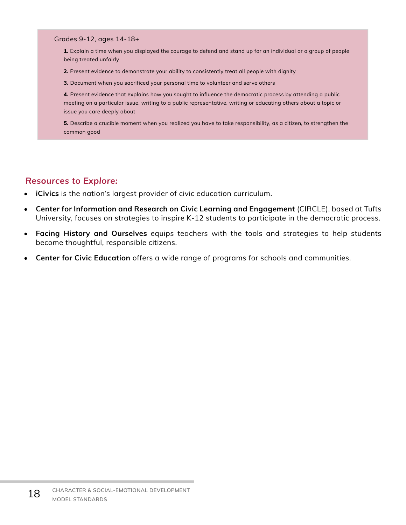**1.** Explain a time when you displayed the courage to defend and stand up for an individual or a group of people being treated unfairly

**2.** Present evidence to demonstrate your ability to consistently treat all people with dignity

**3.** Document when you sacrificed your personal time to volunteer and serve others

**4.** Present evidence that explains how you sought to influence the democratic process by attending a public meeting on a particular issue, writing to a public representative, writing or educating others about a topic or issue you care deeply about

**5.** Describe a crucible moment when you realized you have to take responsibility, as a citizen, to strengthen the common good

- **• iCivics** is the nation's largest provider of civic education curriculum.
- **• Center for Information and Research on Civic Learning and Engagement** (CIRCLE), based at Tufts University, focuses on strategies to inspire K-12 students to participate in the democratic process.
- **• Facing History and Ourselves** equips teachers with the tools and strategies to help students become thoughtful, responsible citizens.
- **• Center for Civic Education** offers a wide range of programs for schools and communities.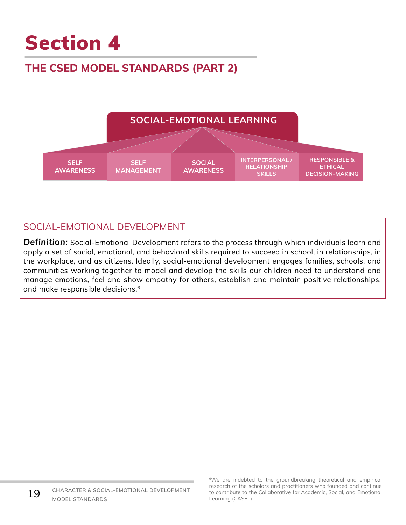# **THE CSED MODEL STANDARDS (PART 2)**



## SOCIAL-EMOTIONAL DEVELOPMENT

*Definition:* Social-Emotional Development refers to the process through which individuals learn and apply a set of social, emotional, and behavioral skills required to succeed in school, in relationships, in the workplace, and as citizens. Ideally, social-emotional development engages families, schools, and communities working together to model and develop the skills our children need to understand and manage emotions, feel and show empathy for others, establish and maintain positive relationships, and make responsible decisions.6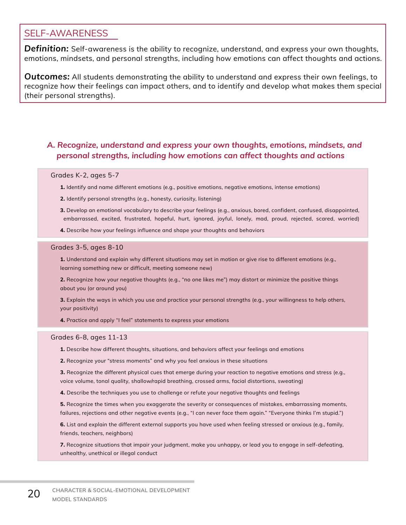## SELF-AWARENESS

*Definition:* Self-awareness is the ability to recognize, understand, and express your own thoughts, emotions, mindsets, and personal strengths, including how emotions can affect thoughts and actions.

*Outcomes:* All students demonstrating the ability to understand and express their own feelings, to recognize how their feelings can impact others, and to identify and develop what makes them special (their personal strengths).

## *A. Recognize, understand and express your own thoughts, emotions, mindsets, and personal strengths, including how emotions can affect thoughts and actions*

#### Grades K-2, ages 5-7

- **1.** Identify and name different emotions (e.g., positive emotions, negative emotions, intense emotions)
- **2.** Identify personal strengths (e.g., honesty, curiosity, listening)
- **3.** Develop an emotional vocabulary to describe your feelings (e.g., anxious, bored, confident, confused, disappointed, embarrassed, excited, frustrated, hopeful, hurt, ignored, joyful, lonely, mad, proud, rejected, scared, worried)
- **4.** Describe how your feelings influence and shape your thoughts and behaviors

#### Grades 3-5, ages 8-10

**1.** Understand and explain why different situations may set in motion or give rise to different emotions (e.g., learning something new or difficult, meeting someone new)

**2.** Recognize how your negative thoughts (e.g., "no one likes me") may distort or minimize the positive things about you (or around you)

**3.** Explain the ways in which you use and practice your personal strengths (e.g., your willingness to help others, your positivity)

**4.** Practice and apply "I feel" statements to express your emotions

#### Grades 6-8, ages 11-13

**1.** Describe how different thoughts, situations, and behaviors affect your feelings and emotions

**2.** Recognize your "stress moments" and why you feel anxious in these situations

**3.** Recognize the different physical cues that emerge during your reaction to negative emotions and stress (e.g., voice volume, tonal quality, shallow/rapid breathing, crossed arms, facial distortions, sweating)

**4.** Describe the techniques you use to challenge or refute your negative thoughts and feelings

**5.** Recognize the times when you exaggerate the severity or consequences of mistakes, embarrassing moments, failures, rejections and other negative events (e.g., "I can never face them again." "Everyone thinks I'm stupid.")

**6.** List and explain the different external supports you have used when feeling stressed or anxious (e.g., family, friends, teachers, neighbors)

**7.** Recognize situations that impair your judgment, make you unhappy, or lead you to engage in self-defeating, unhealthy, unethical or illegal conduct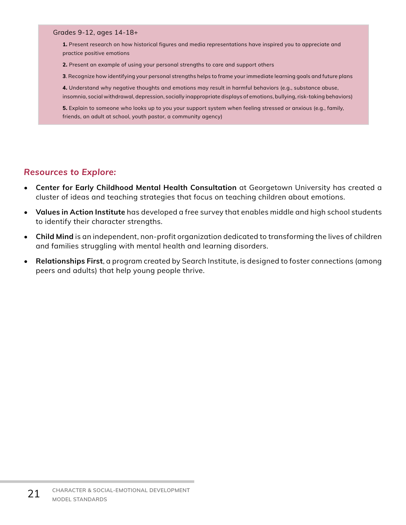**1.** Present research on how historical figures and media representations have inspired you to appreciate and practice positive emotions

**2.** Present an example of using your personal strengths to care and support others

**3**. Recognize how identifying your personal strengths helps to frame your immediate learning goals and future plans

**4.** Understand why negative thoughts and emotions may result in harmful behaviors (e.g., substance abuse, insomnia, social withdrawal, depression, socially inappropriate displays of emotions, bullying, risk-taking behaviors)

**5.** Explain to someone who looks up to you your support system when feeling stressed or anxious (e.g., family, friends, an adult at school, youth pastor, a community agency)

- **• Center for Early Childhood Mental Health Consultation** at Georgetown University has created a cluster of ideas and teaching strategies that focus on teaching children about emotions.
- **• Values in Action Institute** has developed a free survey that enables middle and high school students to identify their character strengths.
- **• Child Mind** is an independent, non-profit organization dedicated to transforming the lives of children and families struggling with mental health and learning disorders.
- **• Relationships First**, a program created by Search Institute, is designed to foster connections (among peers and adults) that help young people thrive.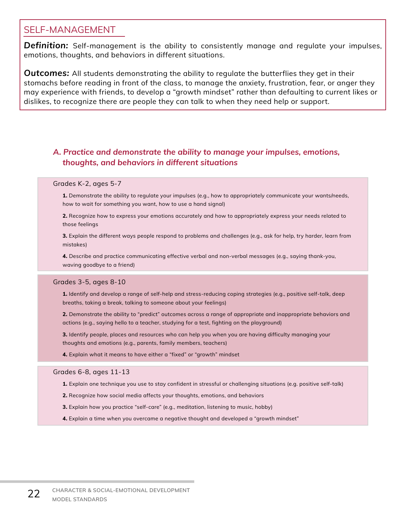## SELF-MANAGEMENT

**Definition:** Self-management is the ability to consistently manage and regulate your impulses, emotions, thoughts, and behaviors in different situations.

*Outcomes:* All students demonstrating the ability to regulate the butterflies they get in their stomachs before reading in front of the class, to manage the anxiety, frustration, fear, or anger they may experience with friends, to develop a "growth mindset" rather than defaulting to current likes or dislikes, to recognize there are people they can talk to when they need help or support.

## *A. Practice and demonstrate the ability to manage your impulses, emotions, thoughts, and behaviors in different situations*

#### Grades K-2, ages 5-7

**1.** Demonstrate the ability to regulate your impulses (e.g., how to appropriately communicate your wants/needs, how to wait for something you want, how to use a hand signal)

**2.** Recognize how to express your emotions accurately and how to appropriately express your needs related to those feelings

**3.** Explain the different ways people respond to problems and challenges (e.g., ask for help, try harder, learn from mistakes)

**4.** Describe and practice communicating effective verbal and non-verbal messages (e.g., saying thank-you, waving goodbye to a friend)

#### Grades 3-5, ages 8-10

**1.** Identify and develop a range of self-help and stress-reducing coping strategies (e.g., positive self-talk, deep breaths, taking a break, talking to someone about your feelings)

**2.** Demonstrate the ability to "predict" outcomes across a range of appropriate and inappropriate behaviors and actions (e.g., saying hello to a teacher, studying for a test, fighting on the playground)

**3.** Identify people, places and resources who can help you when you are having difficulty managing your thoughts and emotions (e.g., parents, family members, teachers)

**4.** Explain what it means to have either a "fixed" or "growth" mindset

#### Grades 6-8, ages 11-13

- **1.** Explain one technique you use to stay confident in stressful or challenging situations (e.g. positive self-talk)
- **2.** Recognize how social media affects your thoughts, emotions, and behaviors
- **3.** Explain how you practice "self-care" (e.g., meditation, listening to music, hobby)
- **4.** Explain a time when you overcame a negative thought and developed a "growth mindset"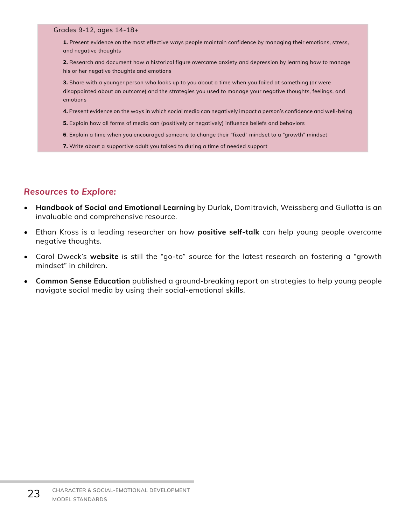**1.** Present evidence on the most effective ways people maintain confidence by managing their emotions, stress, and negative thoughts

**2.** Research and document how a historical figure overcame anxiety and depression by learning how to manage his or her negative thoughts and emotions

**3.** Share with a younger person who looks up to you about a time when you failed at something (or were disappointed about an outcome) and the strategies you used to manage your negative thoughts, feelings, and emotions

- **4.** Present evidence on the ways in which social media can negatively impact a person's confidence and well-being
- **5.** Explain how all forms of media can (positively or negatively) influence beliefs and behaviors
- **6**. Explain a time when you encouraged someone to change their "fixed" mindset to a "growth" mindset
- **7.** Write about a supportive adult you talked to during a time of needed support

- **• Handbook of Social and Emotional Learning** by Durlak, Domitrovich, Weissberg and Gullotta is an invaluable and comprehensive resource.
- Ethan Kross is a leading researcher on how **positive self-talk** can help young people overcome negative thoughts.
- Carol Dweck's **website** is still the "go-to" source for the latest research on fostering a "growth mindset" in children.
- **• Common Sense Education** published a ground-breaking report on strategies to help young people navigate social media by using their social-emotional skills.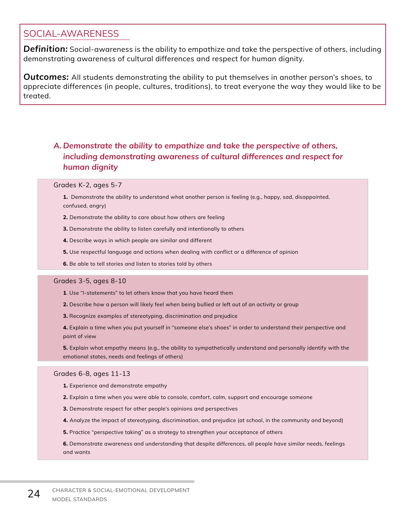## SOCIAL-AWARENESS

*Definition:* Social-awareness is the ability to empathize and take the perspective of others, including demonstrating awareness of cultural differences and respect for human dignity.

*Outcomes:* All students demonstrating the ability to put themselves in another person's shoes, to appreciate differences (in people, cultures, traditions), to treat everyone the way they would like to be treated.

## *A. Demonstrate the ability to empathize and take the perspective of others, including demonstrating awareness of cultural differences and respect for human dignity*

#### Grades K-2, ages 5-7

- **1.** Demonstrate the ability to understand what another person is feeling (e.g., happy, sad, disappointed, confused, angry)
- **2.** Demonstrate the ability to care about how others are feeling
- **3.** Demonstrate the ability to listen carefully and intentionally to others
- **4.** Describe ways in which people are similar and different
- **5.** Use respectful language and actions when dealing with conflict or a difference of opinion
- **6.** Be able to tell stories and listen to stories told by others

#### Grades 3-5, ages 8-10

- **1**. Use "I-statements" to let others know that you have heard them
- **2.** Describe how a person will likely feel when being bullied or left out of an activity or group
- **3.** Recognize examples of stereotyping, discrimination and prejudice

**4.** Explain a time when you put yourself in "someone else's shoes" in order to understand their perspective and point of view

**5.** Explain what empathy means (e.g., the ability to sympathetically understand and personally identify with the emotional states, needs and feelings of others)

#### Grades 6-8, ages 11-13

- **1.** Experience and demonstrate empathy
- **2.** Explain a time when you were able to console, comfort, calm, support and encourage someone
- **3.** Demonstrate respect for other people's opinions and perspectives
- **4.** Analyze the impact of stereotyping, discrimination, and prejudice (at school, in the community and beyond)
- **5.** Practice "perspective taking" as a strategy to strengthen your acceptance of others

**6.** Demonstrate awareness and understanding that despite differences, all people have similar needs, feelings and wants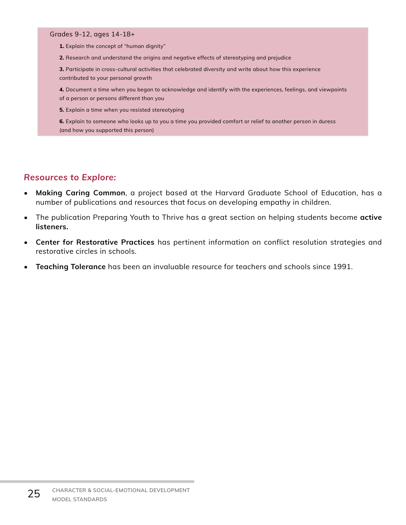**1.** Explain the concept of "human dignity"

**2.** Research and understand the origins and negative effects of stereotyping and prejudice

**3.** Participate in cross-cultural activities that celebrated diversity and write about how this experience contributed to your personal growth

**4.** Document a time when you began to acknowledge and identify with the experiences, feelings, and viewpoints of a person or persons different than you

**5.** Explain a time when you resisted stereotyping

**6.** Explain to someone who looks up to you a time you provided comfort or relief to another person in duress (and how you supported this person)

- **• Making Caring Common**, a project based at the Harvard Graduate School of Education, has a number of publications and resources that focus on developing empathy in children.
- The publication Preparing Youth to Thrive has a great section on helping students become **active listeners.**
- **• Center for Restorative Practices** has pertinent information on conflict resolution strategies and restorative circles in schools.
- **• Teaching Tolerance** has been an invaluable resource for teachers and schools since 1991.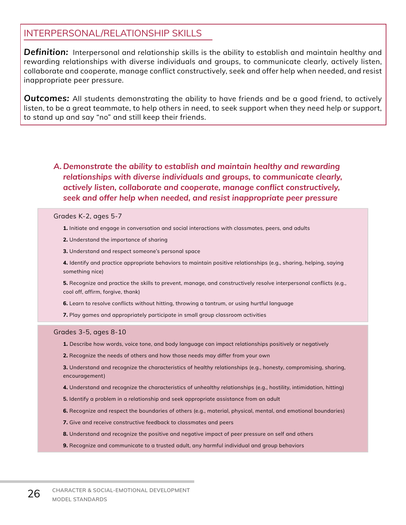## INTERPERSONAL/RELATIONSHIP SKILLS

*Definition:* Interpersonal and relationship skills is the ability to establish and maintain healthy and rewarding relationships with diverse individuals and groups, to communicate clearly, actively listen, collaborate and cooperate, manage conflict constructively, seek and offer help when needed, and resist inappropriate peer pressure.

**Outcomes:** All students demonstrating the ability to have friends and be a good friend, to actively listen, to be a great teammate, to help others in need, to seek support when they need help or support, to stand up and say "no" and still keep their friends.

## *A. Demonstrate the ability to establish and maintain healthy and rewarding relationships with diverse individuals and groups, to communicate clearly, actively listen, collaborate and cooperate, manage conflict constructively, seek and offer help when needed, and resist inappropriate peer pressure*

#### Grades K-2, ages 5-7

- **1.** Initiate and engage in conversation and social interactions with classmates, peers, and adults
- **2.** Understand the importance of sharing
- **3.** Understand and respect someone's personal space

**4.** Identify and practice appropriate behaviors to maintain positive relationships (e.g., sharing, helping, saying something nice)

**5.** Recognize and practice the skills to prevent, manage, and constructively resolve interpersonal conflicts (e.g., cool off, affirm, forgive, thank)

**6.** Learn to resolve conflicts without hitting, throwing a tantrum, or using hurtful language

**7.** Play games and appropriately participate in small group classroom activities

#### Grades 3-5, ages 8-10

- **1.** Describe how words, voice tone, and body language can impact relationships positively or negatively
- **2.** Recognize the needs of others and how those needs may differ from your own

**3.** Understand and recognize the characteristics of healthy relationships (e.g., honesty, compromising, sharing, encouragement)

- **4.** Understand and recognize the characteristics of unhealthy relationships (e.g., hostility, intimidation, hitting)
- **5.** Identify a problem in a relationship and seek appropriate assistance from an adult
- **6.** Recognize and respect the boundaries of others (e.g., material, physical, mental, and emotional boundaries)
- **7.** Give and receive constructive feedback to classmates and peers
- **8.** Understand and recognize the positive and negative impact of peer pressure on self and others
- **9.** Recognize and communicate to a trusted adult, any harmful individual and group behaviors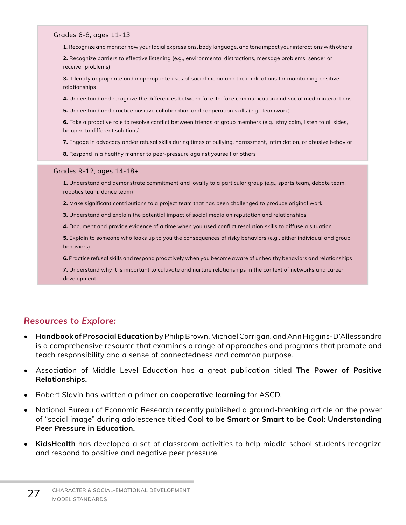#### Grades 6-8, ages 11-13

**1**. Recognize and monitor how your facial expressions, body language, and tone impact your interactions with others

**2.** Recognize barriers to effective listening (e.g., environmental distractions, message problems, sender or receiver problems)

**3.** Identify appropriate and inappropriate uses of social media and the implications for maintaining positive relationships

- **4.** Understand and recognize the differences between face-to-face communication and social media interactions
- **5.** Understand and practice positive collaboration and cooperation skills (e.g., teamwork)
- **6.** Take a proactive role to resolve conflict between friends or group members (e.g., stay calm, listen to all sides, be open to different solutions)
- **7.** Engage in advocacy and/or refusal skills during times of bullying, harassment, intimidation, or abusive behavior
- **8.** Respond in a healthy manner to peer-pressure against yourself or others

#### Grades 9-12, ages 14-18+

- **1.** Understand and demonstrate commitment and loyalty to a particular group (e.g., sports team, debate team, robotics team, dance team)
- **2.** Make significant contributions to a project team that has been challenged to produce original work
- **3.** Understand and explain the potential impact of social media on reputation and relationships
- **4.** Document and provide evidence of a time when you used conflict resolution skills to diffuse a situation

**5.** Explain to someone who looks up to you the consequences of risky behaviors (e.g., either individual and group behaviors)

**6.** Practice refusal skills and respond proactively when you become aware of unhealthy behaviors and relationships

**7.** Understand why it is important to cultivate and nurture relationships in the context of networks and career development

- **• Handbook of Prosocial Education** by Philip Brown, Michael Corrigan, and Ann Higgins-D'Allessandro is a comprehensive resource that examines a range of approaches and programs that promote and teach responsibility and a sense of connectedness and common purpose.
- Association of Middle Level Education has a great publication titled **The Power of Positive Relationships.**
- Robert Slavin has written a primer on **cooperative learning** for ASCD.
- National Bureau of Economic Research recently published a ground-breaking article on the power of "social image" during adolescence titled **Cool to be Smart or Smart to be Cool: Understanding Peer Pressure in Education.**
- **• KidsHealth** has developed a set of classroom activities to help middle school students recognize and respond to positive and negative peer pressure.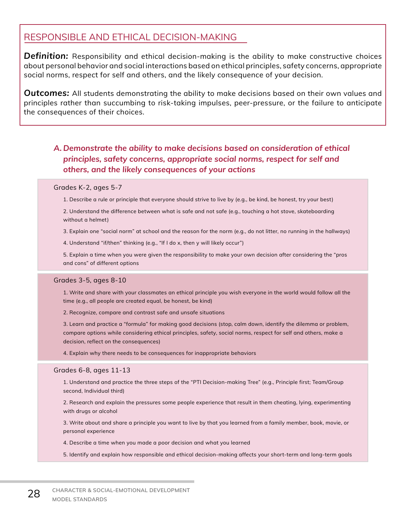## RESPONSIBLE AND ETHICAL DECISION-MAKING

*Definition:* Responsibility and ethical decision-making is the ability to make constructive choices about personal behavior and social interactions based on ethical principles, safety concerns, appropriate social norms, respect for self and others, and the likely consequence of your decision.

*Outcomes:* All students demonstrating the ability to make decisions based on their own values and principles rather than succumbing to risk-taking impulses, peer-pressure, or the failure to anticipate the consequences of their choices.

## *A. Demonstrate the ability to make decisions based on consideration of ethical principles, safety concerns, appropriate social norms, respect for self and others, and the likely consequences of your actions*

#### Grades K-2, ages 5-7

1. Describe a rule or principle that everyone should strive to live by (e.g., be kind, be honest, try your best)

2. Understand the difference between what is safe and not safe (e.g., touching a hot stove, skateboarding without a helmet)

3. Explain one "social norm" at school and the reason for the norm (e.g., do not litter, no running in the hallways)

4. Understand "if/then" thinking (e.g., "If I do x, then y will likely occur")

5. Explain a time when you were given the responsibility to make your own decision after considering the "pros and cons" of different options

#### Grades 3-5, ages 8-10

1. Write and share with your classmates an ethical principle you wish everyone in the world would follow all the time (e.g., all people are created equal, be honest, be kind)

2. Recognize, compare and contrast safe and unsafe situations

3. Learn and practice a "formula" for making good decisions (stop, calm down, identify the dilemma or problem, compare options while considering ethical principles, safety, social norms, respect for self and others, make a decision, reflect on the consequences)

4. Explain why there needs to be consequences for inappropriate behaviors

#### Grades 6-8, ages 11-13

1. Understand and practice the three steps of the "PTI Decision-making Tree" (e.g., Principle first; Team/Group second, Individual third)

2. Research and explain the pressures some people experience that result in them cheating, lying, experimenting with drugs or alcohol

3. Write about and share a principle you want to live by that you learned from a family member, book, movie, or personal experience

4. Describe a time when you made a poor decision and what you learned

5. Identify and explain how responsible and ethical decision-making affects your short-term and long-term goals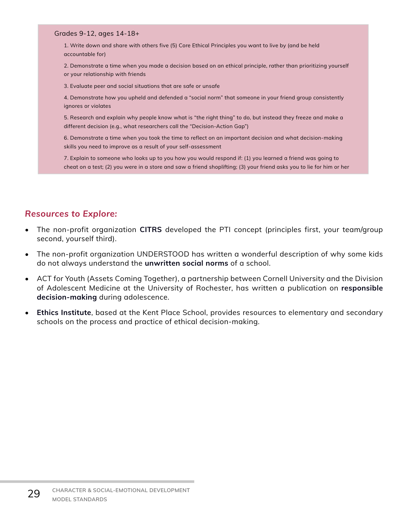1. Write down and share with others five (5) Core Ethical Principles you want to live by (and be held accountable for)

2. Demonstrate a time when you made a decision based on an ethical principle, rather than prioritizing yourself or your relationship with friends

3. Evaluate peer and social situations that are safe or unsafe

4. Demonstrate how you upheld and defended a "social norm" that someone in your friend group consistently ignores or violates

5. Research and explain why people know what is "the right thing" to do, but instead they freeze and make a different decision (e.g., what researchers call the "Decision-Action Gap")

6. Demonstrate a time when you took the time to reflect on an important decision and what decision-making skills you need to improve as a result of your self-assessment

7. Explain to someone who looks up to you how you would respond if: (1) you learned a friend was going to cheat on a test; (2) you were in a store and saw a friend shoplifting; (3) your friend asks you to lie for him or her

- The non-profit organization **[CITRS](http://citrs.org)** developed the PTI concept (principles first, your team/group second, yourself third).
- The non-profit organization UNDERSTOOD has written a wonderful description of why some kids do not always understand the **[unwritten social norms](https://www.understood.org/pages/en/friends-feelings/common-challenges/following-social-rules/)** of a school.
- ACT for Youth (Assets Coming Together), a partnership between Cornell University and the Division of Adolescent Medicine at the University of Rochester, has written a publication on **[responsible](http://actforyouth.net/youth_development/professionals/sel/decision_making.cfm)  [decision-making](http://actforyouth.net/youth_development/professionals/sel/decision_making.cfm)** during adolescence.
- **• [Ethics Institute](https://www.kentplace.org/ethics-institute)**, based at the Kent Place School, provides resources to elementary and secondary schools on the process and practice of ethical decision-making.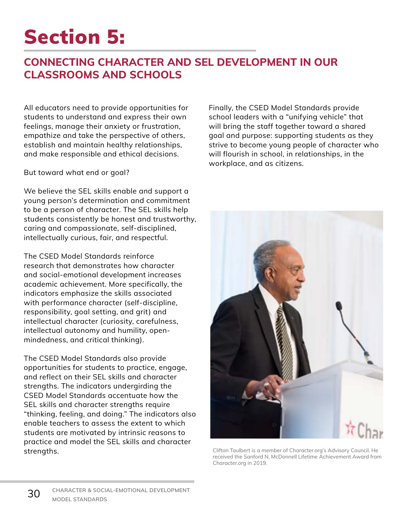# Section 5:

## **CONNECTING CHARACTER AND SEL DEVELOPMENT IN OUR CLASSROOMS AND SCHOOLS**

All educators need to provide opportunities for students to understand and express their own feelings, manage their anxiety or frustration, empathize and take the perspective of others, establish and maintain healthy relationships, and make responsible and ethical decisions.

But toward what end or goal?

We believe the SEL skills enable and support a young person's determination and commitment to be a person of character. The SEL skills help students consistently be honest and trustworthy, caring and compassionate, self-disciplined, intellectually curious, fair, and respectful.

The CSED Model Standards reinforce research that demonstrates how character and social-emotional development increases academic achievement. More specifically, the indicators emphasize the skills associated with performance character (self-discipline, responsibility, goal setting, and grit) and intellectual character (curiosity, carefulness, intellectual autonomy and humility, openmindedness, and critical thinking).

The CSED Model Standards also provide opportunities for students to practice, engage, and reflect on their SEL skills and character strengths. The indicators undergirding the CSED Model Standards accentuate how the SEL skills and character strengths require "thinking, feeling, and doing." The indicators also enable teachers to assess the extent to which students are motivated by intrinsic reasons to practice and model the SEL skills and character strengths.

Finally, the CSED Model Standards provide school leaders with a "unifying vehicle" that will bring the staff together toward a shared goal and purpose: supporting students as they strive to become young people of character who will flourish in school, in relationships, in the workplace, and as citizens.



Clifton Taulbert is a member of Character.org's Advisory Council. He received the Sanford N. McDonnell Lifetime Achievement Award from Character.org in 2019.